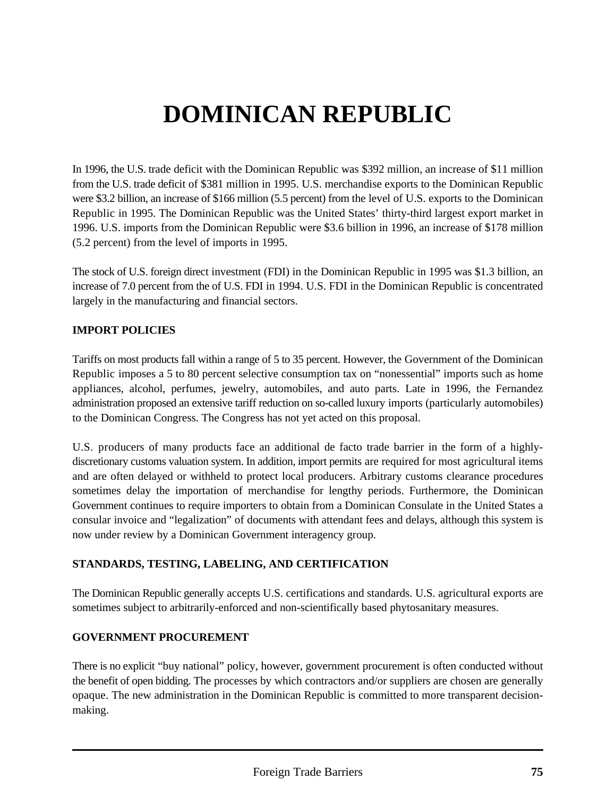# **DOMINICAN REPUBLIC**

In 1996, the U.S. trade deficit with the Dominican Republic was \$392 million, an increase of \$11 million from the U.S. trade deficit of \$381 million in 1995. U.S. merchandise exports to the Dominican Republic were \$3.2 billion, an increase of \$166 million (5.5 percent) from the level of U.S. exports to the Dominican Republic in 1995. The Dominican Republic was the United States' thirty-third largest export market in 1996. U.S. imports from the Dominican Republic were \$3.6 billion in 1996, an increase of \$178 million (5.2 percent) from the level of imports in 1995.

The stock of U.S. foreign direct investment (FDI) in the Dominican Republic in 1995 was \$1.3 billion, an increase of 7.0 percent from the of U.S. FDI in 1994. U.S. FDI in the Dominican Republic is concentrated largely in the manufacturing and financial sectors.

# **IMPORT POLICIES**

Tariffs on most products fall within a range of 5 to 35 percent. However, the Government of the Dominican Republic imposes a 5 to 80 percent selective consumption tax on "nonessential" imports such as home appliances, alcohol, perfumes, jewelry, automobiles, and auto parts. Late in 1996, the Fernandez administration proposed an extensive tariff reduction on so-called luxury imports (particularly automobiles) to the Dominican Congress. The Congress has not yet acted on this proposal.

U.S. producers of many products face an additional de facto trade barrier in the form of a highlydiscretionary customs valuation system. In addition, import permits are required for most agricultural items and are often delayed or withheld to protect local producers. Arbitrary customs clearance procedures sometimes delay the importation of merchandise for lengthy periods. Furthermore, the Dominican Government continues to require importers to obtain from a Dominican Consulate in the United States a consular invoice and "legalization" of documents with attendant fees and delays, although this system is now under review by a Dominican Government interagency group.

#### **STANDARDS, TESTING, LABELING, AND CERTIFICATION**

The Dominican Republic generally accepts U.S. certifications and standards. U.S. agricultural exports are sometimes subject to arbitrarily-enforced and non-scientifically based phytosanitary measures.

#### **GOVERNMENT PROCUREMENT**

There is no explicit "buy national" policy, however, government procurement is often conducted without the benefit of open bidding. The processes by which contractors and/or suppliers are chosen are generally opaque. The new administration in the Dominican Republic is committed to more transparent decisionmaking.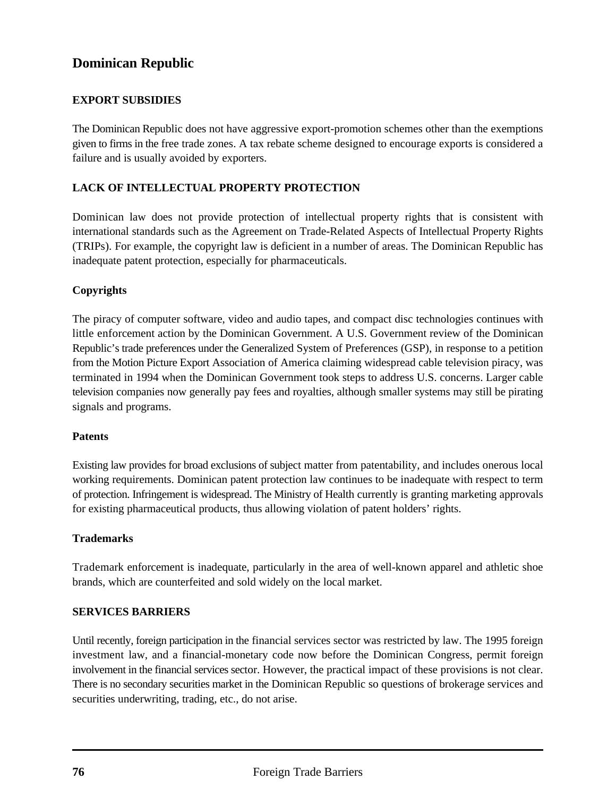# **Dominican Republic**

## **EXPORT SUBSIDIES**

The Dominican Republic does not have aggressive export-promotion schemes other than the exemptions given to firms in the free trade zones. A tax rebate scheme designed to encourage exports is considered a failure and is usually avoided by exporters.

#### **LACK OF INTELLECTUAL PROPERTY PROTECTION**

Dominican law does not provide protection of intellectual property rights that is consistent with international standards such as the Agreement on Trade-Related Aspects of Intellectual Property Rights (TRIPs). For example, the copyright law is deficient in a number of areas. The Dominican Republic has inadequate patent protection, especially for pharmaceuticals.

#### **Copyrights**

The piracy of computer software, video and audio tapes, and compact disc technologies continues with little enforcement action by the Dominican Government. A U.S. Government review of the Dominican Republic's trade preferences under the Generalized System of Preferences (GSP), in response to a petition from the Motion Picture Export Association of America claiming widespread cable television piracy, was terminated in 1994 when the Dominican Government took steps to address U.S. concerns. Larger cable television companies now generally pay fees and royalties, although smaller systems may still be pirating signals and programs.

#### **Patents**

Existing law provides for broad exclusions of subject matter from patentability, and includes onerous local working requirements. Dominican patent protection law continues to be inadequate with respect to term of protection. Infringement is widespread. The Ministry of Health currently is granting marketing approvals for existing pharmaceutical products, thus allowing violation of patent holders' rights.

#### **Trademarks**

Trademark enforcement is inadequate, particularly in the area of well-known apparel and athletic shoe brands, which are counterfeited and sold widely on the local market.

#### **SERVICES BARRIERS**

Until recently, foreign participation in the financial services sector was restricted by law. The 1995 foreign investment law, and a financial-monetary code now before the Dominican Congress, permit foreign involvement in the financial services sector. However, the practical impact of these provisions is not clear. There is no secondary securities market in the Dominican Republic so questions of brokerage services and securities underwriting, trading, etc., do not arise.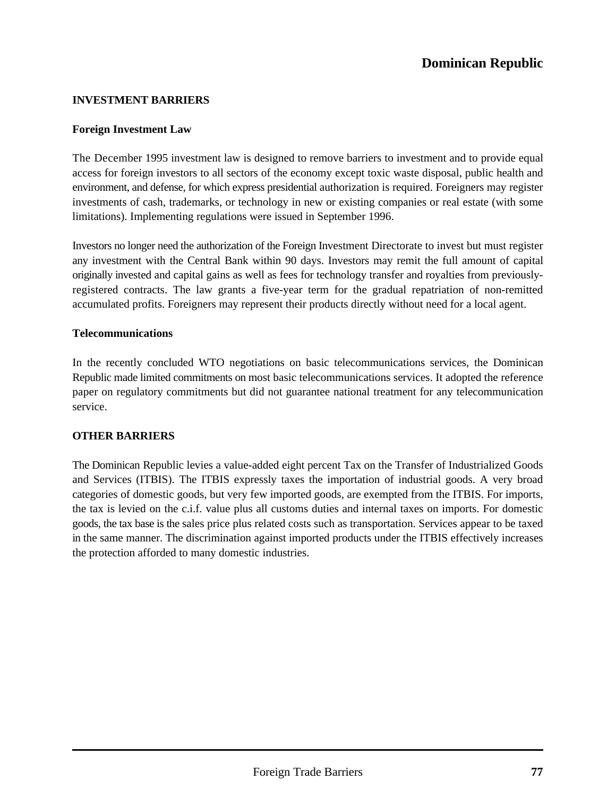## **INVESTMENT BARRIERS**

#### **Foreign Investment Law**

The December 1995 investment law is designed to remove barriers to investment and to provide equal access for foreign investors to all sectors of the economy except toxic waste disposal, public health and environment, and defense, for which express presidential authorization is required. Foreigners may register investments of cash, trademarks, or technology in new or existing companies or real estate (with some limitations). Implementing regulations were issued in September 1996.

Investors no longer need the authorization of the Foreign Investment Directorate to invest but must register any investment with the Central Bank within 90 days. Investors may remit the full amount of capital originally invested and capital gains as well as fees for technology transfer and royalties from previouslyregistered contracts. The law grants a five-year term for the gradual repatriation of non-remitted accumulated profits. Foreigners may represent their products directly without need for a local agent.

#### **Telecommunications**

In the recently concluded WTO negotiations on basic telecommunications services, the Dominican Republic made limited commitments on most basic telecommunications services. It adopted the reference paper on regulatory commitments but did not guarantee national treatment for any telecommunication service.

#### **OTHER BARRIERS**

The Dominican Republic levies a value-added eight percent Tax on the Transfer of Industrialized Goods and Services (ITBIS). The ITBIS expressly taxes the importation of industrial goods. A very broad categories of domestic goods, but very few imported goods, are exempted from the ITBIS. For imports, the tax is levied on the c.i.f. value plus all customs duties and internal taxes on imports. For domestic goods, the tax base is the sales price plus related costs such as transportation. Services appear to be taxed in the same manner. The discrimination against imported products under the ITBIS effectively increases the protection afforded to many domestic industries.